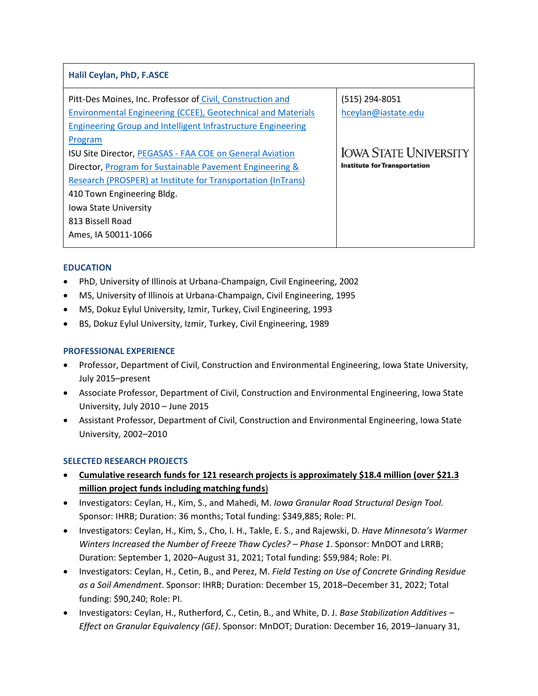| Halil Ceylan, PhD, F.ASCE                                                                                                                                                                                         |                                                                     |
|-------------------------------------------------------------------------------------------------------------------------------------------------------------------------------------------------------------------|---------------------------------------------------------------------|
| Pitt-Des Moines, Inc. Professor of Civil, Construction and<br>Environmental Engineering (CCEE), Geotechnical and Materials<br>Engineering Group and Intelligent Infrastructure Engineering                        | (515) 294-8051<br>hceylan@iastate.edu                               |
| Program<br><b>ISU Site Director, PEGASAS - FAA COE on General Aviation</b><br>Director, <b>Program for Sustainable Pavement Engineering &amp;</b><br>Research (PROSPER) at Institute for Transportation (InTrans) | <b>IOWA STATE UNIVERSITY</b><br><b>Institute for Transportation</b> |
| 410 Town Engineering Bldg.<br><b>Iowa State University</b><br>813 Bissell Road<br>Ames, IA 50011-1066                                                                                                             |                                                                     |

# **EDUCATION**

- PhD, University of Illinois at Urbana-Champaign, Civil Engineering, 2002
- MS, University of Illinois at Urbana-Champaign, Civil Engineering, 1995
- MS, Dokuz Eylul University, Izmir, Turkey, Civil Engineering, 1993
- BS, Dokuz Eylul University, Izmir, Turkey, Civil Engineering, 1989

# **PROFESSIONAL EXPERIENCE**

- Professor, Department of Civil, Construction and Environmental Engineering, Iowa State University, July 2015–present
- Associate Professor, Department of Civil, Construction and Environmental Engineering, Iowa State University, July 2010 – June 2015
- Assistant Professor, Department of Civil, Construction and Environmental Engineering, Iowa State University, 2002–2010

# **SELECTED RESEARCH PROJECTS**

- **Cumulative research funds for 121 research projects is approximately \$18.4 million (over \$21.3 million project funds including matching funds**)
- Investigators: Ceylan, H., Kim, S., and Mahedi, M. *Iowa Granular Road Structural Design Tool.* Sponsor: IHRB; Duration: 36 months; Total funding: \$349,885; Role: PI.
- Investigators: Ceylan, H., Kim, S., Cho, I. H., Takle, E. S., and Rajewski, D. *Have Minnesota's Warmer Winters Increased the Number of Freeze Thaw Cycles? – Phase 1*. Sponsor: MnDOT and LRRB; Duration: September 1, 2020–August 31, 2021; Total funding: \$59,984; Role: PI.
- Investigators: Ceylan, H., Cetin, B., and Perez, M. *Field Testing on Use of Concrete Grinding Residue as a Soil Amendment*. Sponsor: IHRB; Duration: December 15, 2018–December 31, 2022; Total funding: \$90,240; Role: PI.
- Investigators: Ceylan, H., Rutherford, C., Cetin, B., and White, D. J. *Base Stabilization Additives – Effect on Granular Equivalency (GE)*. Sponsor: MnDOT; Duration: December 16, 2019–January 31,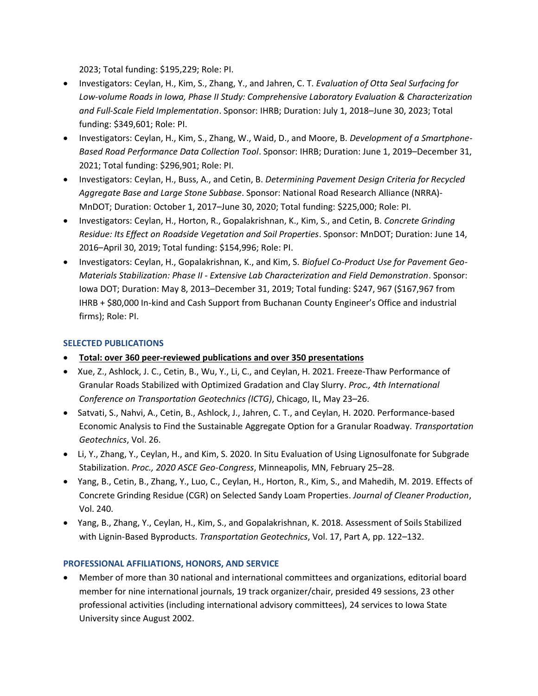2023; Total funding: \$195,229; Role: PI.

- Investigators: Ceylan, H., Kim, S., Zhang, Y., and Jahren, C. T. *Evaluation of Otta Seal Surfacing for Low-volume Roads in Iowa, Phase II Study: Comprehensive Laboratory Evaluation & Characterization and Full-Scale Field Implementation*. Sponsor: IHRB; Duration: July 1, 2018–June 30, 2023; Total funding: \$349,601; Role: PI.
- Investigators: Ceylan, H., Kim, S., Zhang, W., Waid, D., and Moore, B. *Development of a Smartphone-Based Road Performance Data Collection Tool*. Sponsor: IHRB; Duration: June 1, 2019–December 31, 2021; Total funding: \$296,901; Role: PI.
- Investigators: Ceylan, H., Buss, A., and Cetin, B. *Determining Pavement Design Criteria for Recycled Aggregate Base and Large Stone Subbase*. Sponsor: National Road Research Alliance (NRRA)- MnDOT; Duration: October 1, 2017–June 30, 2020; Total funding: \$225,000; Role: PI.
- Investigators: Ceylan, H., Horton, R., Gopalakrishnan, K., Kim, S., and Cetin, B. *Concrete Grinding Residue: Its Effect on Roadside Vegetation and Soil Properties*. Sponsor: MnDOT; Duration: June 14, 2016–April 30, 2019; Total funding: \$154,996; Role: PI.
- Investigators: Ceylan, H., Gopalakrishnan, K., and Kim, S. *Biofuel Co-Product Use for Pavement Geo-Materials Stabilization: Phase II - Extensive Lab Characterization and Field Demonstration*. Sponsor: Iowa DOT; Duration: May 8, 2013–December 31, 2019; Total funding: \$247, 967 (\$167,967 from IHRB + \$80,000 In-kind and Cash Support from Buchanan County Engineer's Office and industrial firms); Role: PI.

### **SELECTED PUBLICATIONS**

- **Total: over 360 peer-reviewed publications and over 350 presentations**
- Xue, Z., Ashlock, J. C., Cetin, B., Wu, Y., Li, C., and Ceylan, H. 2021. Freeze-Thaw Performance of Granular Roads Stabilized with Optimized Gradation and Clay Slurry. *Proc., 4th International Conference on Transportation Geotechnics (ICTG)*, Chicago, IL, May 23–26.
- Satvati, S., Nahvi, A., Cetin, B., Ashlock, J., Jahren, C. T., and Ceylan, H. 2020. Performance-based Economic Analysis to Find the Sustainable Aggregate Option for a Granular Roadway*. Transportation Geotechnics*, Vol. 26.
- Li, Y., Zhang, Y., Ceylan, H., and Kim, S. 2020. In Situ Evaluation of Using Lignosulfonate for Subgrade Stabilization. *Proc., 2020 ASCE Geo-Congress*, Minneapolis, MN, February 25–28.
- Yang, B., Cetin, B., Zhang, Y., Luo, C., Ceylan, H., Horton, R., Kim, S., and Mahedih, M. 2019. Effects of Concrete Grinding Residue (CGR) on Selected Sandy Loam Properties. *Journal of Cleaner Production*, Vol. 240.
- Yang, B., Zhang, Y., Ceylan, H., Kim, S., and Gopalakrishnan, K. 2018. Assessment of Soils Stabilized with Lignin-Based Byproducts. *Transportation Geotechnics*, Vol. 17, Part A, pp. 122–132.

#### **PROFESSIONAL AFFILIATIONS, HONORS, AND SERVICE**

• Member of more than 30 national and international committees and organizations, editorial board member for nine international journals, 19 track organizer/chair, presided 49 sessions, 23 other professional activities (including international advisory committees), 24 services to Iowa State University since August 2002.